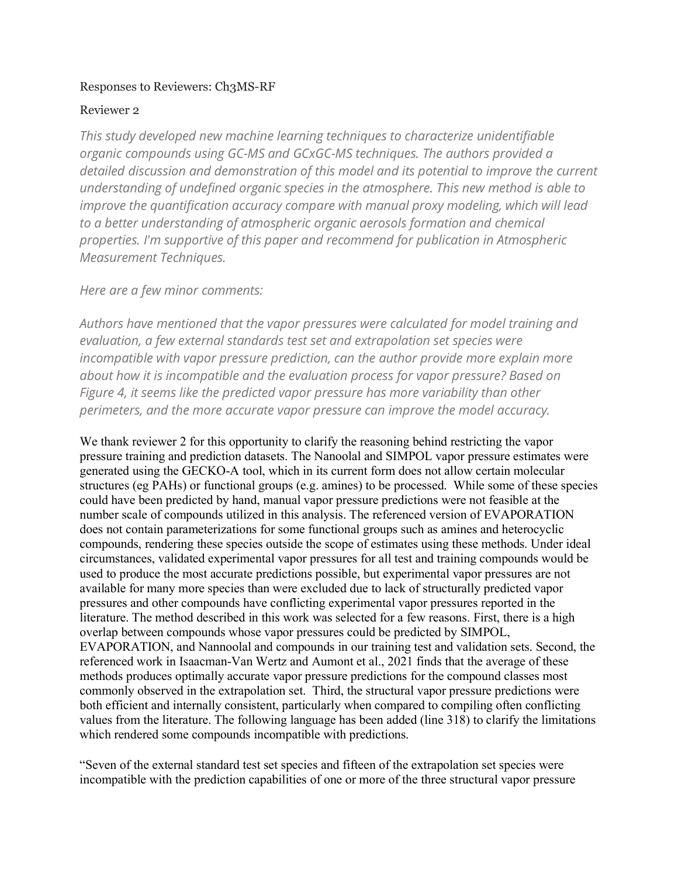## Responses to Reviewers: Ch3MS-RF

## Reviewer 2

*This study developed new machine learning techniques to characterize unidentifiable organic compounds using GC-MS and GCxGC-MS techniques. The authors provided a detailed discussion and demonstration of this model and its potential to improve the current understanding of undefined organic species in the atmosphere. This new method is able to improve the quantification accuracy compare with manual proxy modeling, which will lead to a better understanding of atmospheric organic aerosols formation and chemical properties. I'm supportive of this paper and recommend for publication in Atmospheric Measurement Techniques.* 

*Here are a few minor comments:*

*Authors have mentioned that the vapor pressures were calculated for model training and evaluation, a few external standards test set and extrapolation set species were incompatible with vapor pressure prediction, can the author provide more explain more about how it is incompatible and the evaluation process for vapor pressure? Based on Figure 4, it seems like the predicted vapor pressure has more variability than other perimeters, and the more accurate vapor pressure can improve the model accuracy.* 

We thank reviewer 2 for this opportunity to clarify the reasoning behind restricting the vapor pressure training and prediction datasets. The Nanoolal and SIMPOL vapor pressure estimates were generated using the GECKO-A tool, which in its current form does not allow certain molecular structures (eg PAHs) or functional groups (e.g. amines) to be processed. While some of these species could have been predicted by hand, manual vapor pressure predictions were not feasible at the number scale of compounds utilized in this analysis. The referenced version of EVAPORATION does not contain parameterizations for some functional groups such as amines and heterocyclic compounds, rendering these species outside the scope of estimates using these methods. Under ideal circumstances, validated experimental vapor pressures for all test and training compounds would be used to produce the most accurate predictions possible, but experimental vapor pressures are not available for many more species than were excluded due to lack of structurally predicted vapor pressures and other compounds have conflicting experimental vapor pressures reported in the literature. The method described in this work was selected for a few reasons. First, there is a high overlap between compounds whose vapor pressures could be predicted by SIMPOL, EVAPORATION, and Nannoolal and compounds in our training test and validation sets. Second, the referenced work in Isaacman-Van Wertz and Aumont et al., 2021 finds that the average of these methods produces optimally accurate vapor pressure predictions for the compound classes most commonly observed in the extrapolation set. Third, the structural vapor pressure predictions were both efficient and internally consistent, particularly when compared to compiling often conflicting values from the literature. The following language has been added (line 318) to clarify the limitations which rendered some compounds incompatible with predictions.

"Seven of the external standard test set species and fifteen of the extrapolation set species were incompatible with the prediction capabilities of one or more of the three structural vapor pressure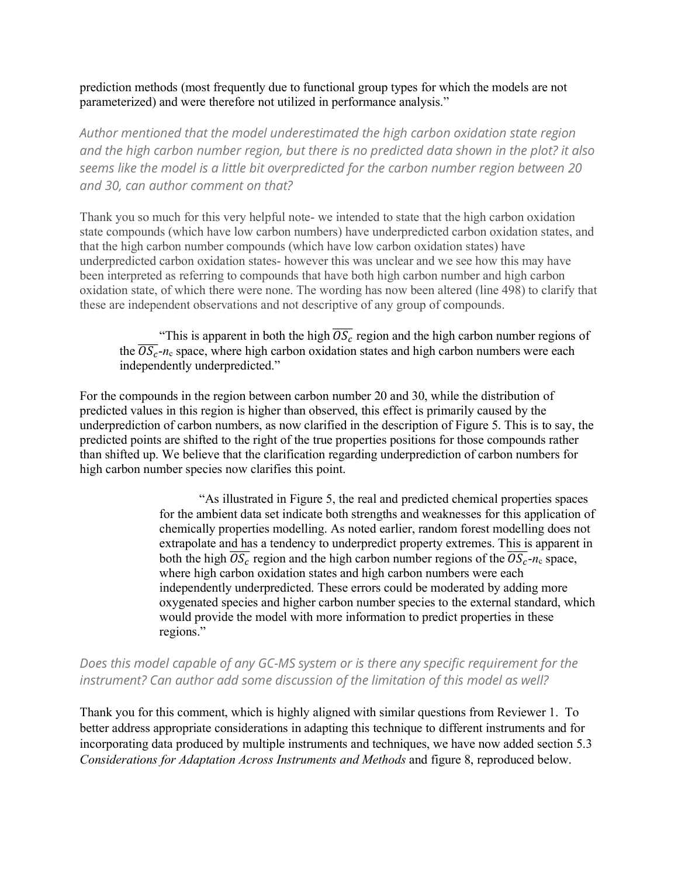prediction methods (most frequently due to functional group types for which the models are not parameterized) and were therefore not utilized in performance analysis."

*Author mentioned that the model underestimated the high carbon oxidation state region and the high carbon number region, but there is no predicted data shown in the plot? it also seems like the model is a little bit overpredicted for the carbon number region between 20 and 30, can author comment on that?*

Thank you so much for this very helpful note- we intended to state that the high carbon oxidation state compounds (which have low carbon numbers) have underpredicted carbon oxidation states, and that the high carbon number compounds (which have low carbon oxidation states) have underpredicted carbon oxidation states- however this was unclear and we see how this may have been interpreted as referring to compounds that have both high carbon number and high carbon oxidation state, of which there were none. The wording has now been altered (line 498) to clarify that these are independent observations and not descriptive of any group of compounds.

"This is apparent in both the high  $\overline{OS_c}$  region and the high carbon number regions of the  $\overline{OS_c}$ - $n_c$  space, where high carbon oxidation states and high carbon numbers were each independently underpredicted."

For the compounds in the region between carbon number 20 and 30, while the distribution of predicted values in this region is higher than observed, this effect is primarily caused by the underprediction of carbon numbers, as now clarified in the description of Figure 5. This is to say, the predicted points are shifted to the right of the true properties positions for those compounds rather than shifted up. We believe that the clarification regarding underprediction of carbon numbers for high carbon number species now clarifies this point.

> "As illustrated in Figure 5, the real and predicted chemical properties spaces for the ambient data set indicate both strengths and weaknesses for this application of chemically properties modelling. As noted earlier, random forest modelling does not extrapolate and has a tendency to underpredict property extremes. This is apparent in both the high  $\overline{OS_c}$  region and the high carbon number regions of the  $\overline{OS_c}$ -n<sub>c</sub> space, where high carbon oxidation states and high carbon numbers were each independently underpredicted. These errors could be moderated by adding more oxygenated species and higher carbon number species to the external standard, which would provide the model with more information to predict properties in these regions."

*Does this model capable of any GC-MS system or is there any specific requirement for the instrument? Can author add some discussion of the limitation of this model as well?*

Thank you for this comment, which is highly aligned with similar questions from Reviewer 1. To better address appropriate considerations in adapting this technique to different instruments and for incorporating data produced by multiple instruments and techniques, we have now added section 5.3 *Considerations for Adaptation Across Instruments and Methods* and figure 8, reproduced below.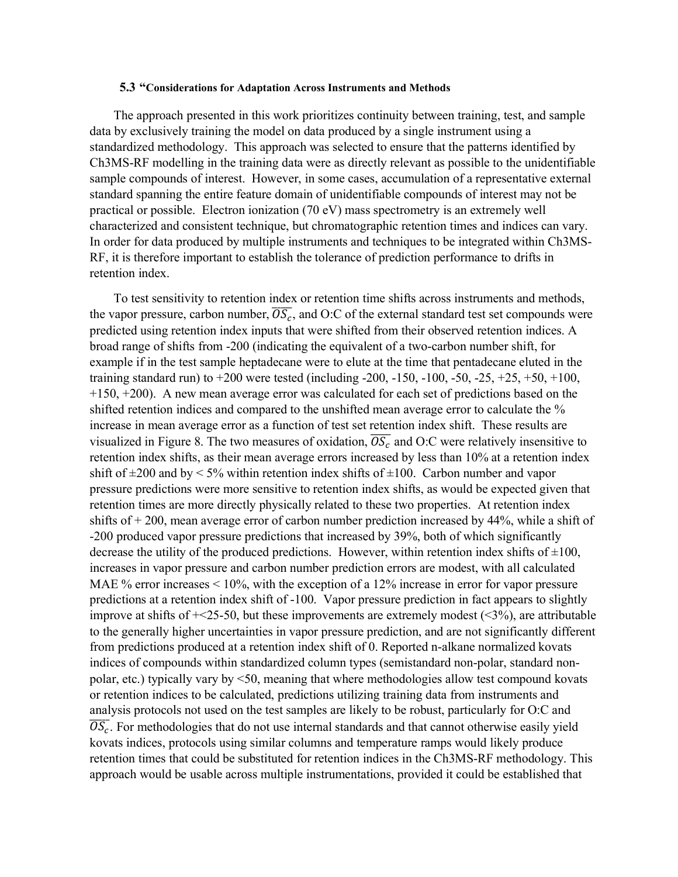## **5.3 "Considerations for Adaptation Across Instruments and Methods**

The approach presented in this work prioritizes continuity between training, test, and sample data by exclusively training the model on data produced by a single instrument using a standardized methodology. This approach was selected to ensure that the patterns identified by Ch3MS-RF modelling in the training data were as directly relevant as possible to the unidentifiable sample compounds of interest. However, in some cases, accumulation of a representative external standard spanning the entire feature domain of unidentifiable compounds of interest may not be practical or possible. Electron ionization (70 eV) mass spectrometry is an extremely well characterized and consistent technique, but chromatographic retention times and indices can vary. In order for data produced by multiple instruments and techniques to be integrated within Ch3MS-RF, it is therefore important to establish the tolerance of prediction performance to drifts in retention index.

To test sensitivity to retention index or retention time shifts across instruments and methods, the vapor pressure, carbon number,  $\overline{OS_c}$ , and O:C of the external standard test set compounds were predicted using retention index inputs that were shifted from their observed retention indices. A broad range of shifts from -200 (indicating the equivalent of a two-carbon number shift, for example if in the test sample heptadecane were to elute at the time that pentadecane eluted in the training standard run) to  $+200$  were tested (including -200, -150, -100, -50, -25,  $+25$ ,  $+50$ ,  $+100$ , +150, +200). A new mean average error was calculated for each set of predictions based on the shifted retention indices and compared to the unshifted mean average error to calculate the % increase in mean average error as a function of test set retention index shift. These results are visualized in Figure 8. The two measures of oxidation,  $OS_c$  and O:C were relatively insensitive to retention index shifts, as their mean average errors increased by less than 10% at a retention index shift of  $\pm 200$  and by  $\leq 5\%$  within retention index shifts of  $\pm 100$ . Carbon number and vapor pressure predictions were more sensitive to retention index shifts, as would be expected given that retention times are more directly physically related to these two properties. At retention index shifts of + 200, mean average error of carbon number prediction increased by 44%, while a shift of -200 produced vapor pressure predictions that increased by 39%, both of which significantly decrease the utility of the produced predictions. However, within retention index shifts of  $\pm 100$ , increases in vapor pressure and carbon number prediction errors are modest, with all calculated MAE % error increases < 10%, with the exception of a 12% increase in error for vapor pressure predictions at a retention index shift of -100. Vapor pressure prediction in fact appears to slightly improve at shifts of  $\pm$  25-50, but these improvements are extremely modest (<3%), are attributable to the generally higher uncertainties in vapor pressure prediction, and are not significantly different from predictions produced at a retention index shift of 0. Reported n-alkane normalized kovats indices of compounds within standardized column types (semistandard non-polar, standard nonpolar, etc.) typically vary by <50, meaning that where methodologies allow test compound kovats or retention indices to be calculated, predictions utilizing training data from instruments and analysis protocols not used on the test samples are likely to be robust, particularly for O:C and  $\overline{OS_c}$ . For methodologies that do not use internal standards and that cannot otherwise easily yield kovats indices, protocols using similar columns and temperature ramps would likely produce retention times that could be substituted for retention indices in the Ch3MS-RF methodology. This approach would be usable across multiple instrumentations, provided it could be established that